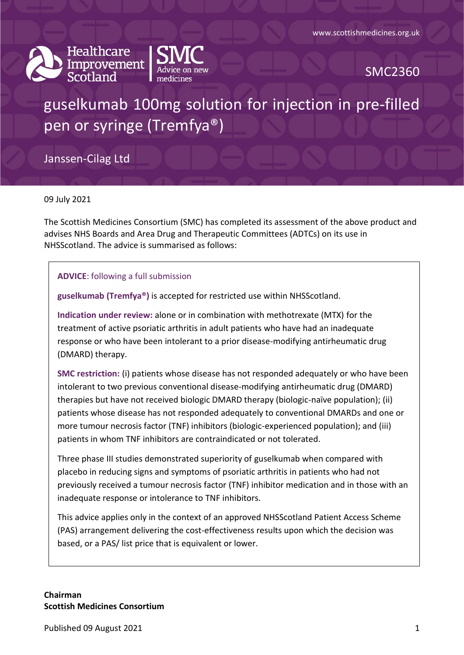



SMC2360

# guselkumab 100mg solution for injection in pre-filled pen or syringe (Tremfya®)

Janssen-Cilag Ltd

09 July 2021

The Scottish Medicines Consortium (SMC) has completed its assessment of the above product and advises NHS Boards and Area Drug and Therapeutic Committees (ADTCs) on its use in NHSScotland. The advice is summarised as follows:

#### **ADVICE**: following a full submission

**guselkumab (Tremfya®)** is accepted for restricted use within NHSScotland.

**Indication under review:** alone or in combination with methotrexate (MTX) for the treatment of active psoriatic arthritis in adult patients who have had an inadequate response or who have been intolerant to a prior disease-modifying antirheumatic drug (DMARD) therapy.

**SMC restriction:** (i) patients whose disease has not responded adequately or who have been intolerant to two previous conventional disease-modifying antirheumatic drug (DMARD) therapies but have not received biologic DMARD therapy (biologic-naïve population); (ii) patients whose disease has not responded adequately to conventional DMARDs and one or more tumour necrosis factor (TNF) inhibitors (biologic-experienced population); and (iii) patients in whom TNF inhibitors are contraindicated or not tolerated.

Three phase III studies demonstrated superiority of guselkumab when compared with placebo in reducing signs and symptoms of psoriatic arthritis in patients who had not previously received a tumour necrosis factor (TNF) inhibitor medication and in those with an inadequate response or intolerance to TNF inhibitors.

This advice applies only in the context of an approved NHSScotland Patient Access Scheme (PAS) arrangement delivering the cost-effectiveness results upon which the decision was based, or a PAS/ list price that is equivalent or lower.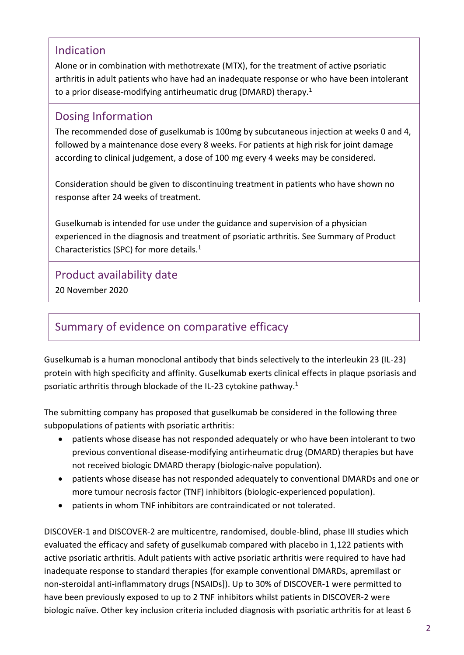### Indication

Alone or in combination with methotrexate (MTX), for the treatment of active psoriatic arthritis in adult patients who have had an inadequate response or who have been intolerant to a prior disease-modifying antirheumatic drug (DMARD) therapy.<sup>1</sup>

### Dosing Information

The recommended dose of guselkumab is 100mg by subcutaneous injection at weeks 0 and 4, followed by a maintenance dose every 8 weeks. For patients at high risk for joint damage according to clinical judgement, a dose of 100 mg every 4 weeks may be considered.

Consideration should be given to discontinuing treatment in patients who have shown no response after 24 weeks of treatment.

Guselkumab is intended for use under the guidance and supervision of a physician experienced in the diagnosis and treatment of psoriatic arthritis. See Summary of Product Characteristics (SPC) for more details.<sup>1</sup>

Product availability date

20 November 2020

## Summary of evidence on comparative efficacy

Guselkumab is a human monoclonal antibody that binds selectively to the interleukin 23 (IL-23) protein with high specificity and affinity. Guselkumab exerts clinical effects in plaque psoriasis and psoriatic arthritis through blockade of the IL-23 cytokine pathway.<sup>1</sup>

The submitting company has proposed that guselkumab be considered in the following three subpopulations of patients with psoriatic arthritis:

- patients whose disease has not responded adequately or who have been intolerant to two previous conventional disease-modifying antirheumatic drug (DMARD) therapies but have not received biologic DMARD therapy (biologic-naïve population).
- patients whose disease has not responded adequately to conventional DMARDs and one or more tumour necrosis factor (TNF) inhibitors (biologic-experienced population).
- patients in whom TNF inhibitors are contraindicated or not tolerated.

DISCOVER-1 and DISCOVER-2 are multicentre, randomised, double-blind, phase III studies which evaluated the efficacy and safety of guselkumab compared with placebo in 1,122 patients with active psoriatic arthritis. Adult patients with active psoriatic arthritis were required to have had inadequate response to standard therapies (for example conventional DMARDs, apremilast or non-steroidal anti-inflammatory drugs [NSAIDs]). Up to 30% of DISCOVER-1 were permitted to have been previously exposed to up to 2 TNF inhibitors whilst patients in DISCOVER-2 were biologic naïve. Other key inclusion criteria included diagnosis with psoriatic arthritis for at least 6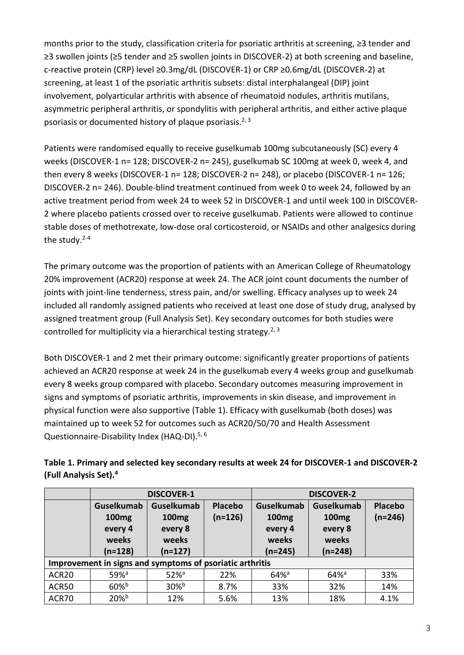months prior to the study, classification criteria for psoriatic arthritis at screening, ≥3 tender and ≥3 swollen joints (≥5 tender and ≥5 swollen joints in DISCOVER-2) at both screening and baseline, c-reactive protein (CRP) level ≥0.3mg/dL (DISCOVER-1) or CRP ≥0.6mg/dL (DISCOVER-2) at screening, at least 1 of the psoriatic arthritis subsets: distal interphalangeal (DIP) joint involvement, polyarticular arthritis with absence of rheumatoid nodules, arthritis mutilans, asymmetric peripheral arthritis, or spondylitis with peripheral arthritis, and either active plaque psoriasis or documented history of plaque psoriasis.<sup>2, 3</sup>

Patients were randomised equally to receive guselkumab 100mg subcutaneously (SC) every 4 weeks (DISCOVER-1 n= 128; DISCOVER-2 n= 245), guselkumab SC 100mg at week 0, week 4, and then every 8 weeks (DISCOVER-1 n= 128; DISCOVER-2 n= 248), or placebo (DISCOVER-1 n= 126; DISCOVER-2 n= 246). Double-blind treatment continued from week 0 to week 24, followed by an active treatment period from week 24 to week 52 in DISCOVER-1 and until week 100 in DISCOVER-2 where placebo patients crossed over to receive guselkumab. Patients were allowed to continue stable doses of methotrexate, low-dose oral corticosteroid, or NSAIDs and other analgesics during the study. $2-4$ 

The primary outcome was the proportion of patients with an American College of Rheumatology 20% improvement (ACR20) response at week 24. The ACR joint count documents the number of joints with joint-line tenderness, stress pain, and/or swelling. Efficacy analyses up to week 24 included all randomly assigned patients who received at least one dose of study drug, analysed by assigned treatment group (Full Analysis Set). Key secondary outcomes for both studies were controlled for multiplicity via a hierarchical testing strategy.<sup>2, 3</sup>

Both DISCOVER-1 and 2 met their primary outcome: significantly greater proportions of patients achieved an ACR20 response at week 24 in the guselkumab every 4 weeks group and guselkumab every 8 weeks group compared with placebo. Secondary outcomes measuring improvement in signs and symptoms of psoriatic arthritis, improvements in skin disease, and improvement in physical function were also supportive (Table 1). Efficacy with guselkumab (both doses) was maintained up to week 52 for outcomes such as ACR20/50/70 and Health Assessment Questionnaire-Disability Index (HAQ-DI).<sup>5, 6</sup>

|                                                          | <b>DISCOVER-1</b>                                                       |                                                                         |                      | <b>DISCOVER-2</b>                                                       |                                                                         |                      |
|----------------------------------------------------------|-------------------------------------------------------------------------|-------------------------------------------------------------------------|----------------------|-------------------------------------------------------------------------|-------------------------------------------------------------------------|----------------------|
|                                                          | <b>Guselkumab</b><br>100 <sub>mg</sub><br>every 4<br>weeks<br>$(n=128)$ | <b>Guselkumab</b><br>100 <sub>mg</sub><br>every 8<br>weeks<br>$(n=127)$ | Placebo<br>$(n=126)$ | <b>Guselkumab</b><br>100 <sub>mg</sub><br>every 4<br>weeks<br>$(n=245)$ | <b>Guselkumab</b><br>100 <sub>mg</sub><br>every 8<br>weeks<br>$(n=248)$ | Placebo<br>$(n=246)$ |
| Improvement in signs and symptoms of psoriatic arthritis |                                                                         |                                                                         |                      |                                                                         |                                                                         |                      |
| ACR20                                                    | $59%$ <sup>a</sup>                                                      | $52\%$ <sup>a</sup>                                                     | 22%                  | $64%$ <sup>a</sup>                                                      | $64%$ <sup>a</sup>                                                      | 33%                  |
| ACR50                                                    | $60\%$ <sub>b</sub>                                                     | $30\%$ <sup>b</sup>                                                     | 8.7%                 | 33%                                                                     | 32%                                                                     | 14%                  |
| ACR70                                                    | $20%^{b}$                                                               | 12%                                                                     | 5.6%                 | 13%                                                                     | 18%                                                                     | 4.1%                 |

### **Table 1. Primary and selected key secondary results at week 24 for DISCOVER-1 and DISCOVER-2 (Full Analysis Set).<sup>4</sup>**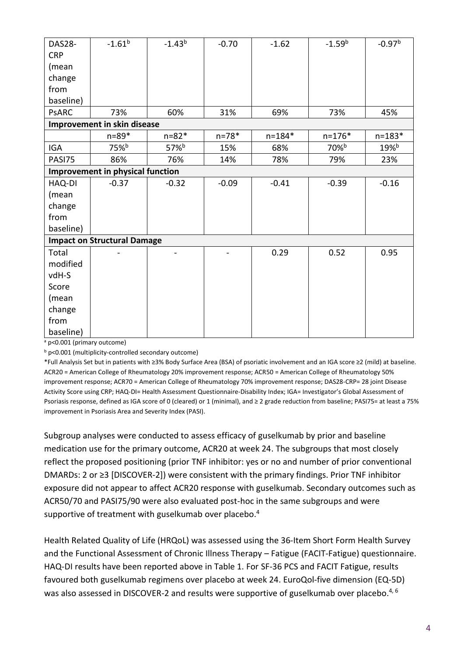| <b>DAS28-</b> | $-1.61^{b}$                             | $-1.43^{b}$      | $-0.70$   | $-1.62$    | $-1.59b$   | $-0.97b$            |
|---------------|-----------------------------------------|------------------|-----------|------------|------------|---------------------|
| <b>CRP</b>    |                                         |                  |           |            |            |                     |
| (mean         |                                         |                  |           |            |            |                     |
| change        |                                         |                  |           |            |            |                     |
| from          |                                         |                  |           |            |            |                     |
| baseline)     |                                         |                  |           |            |            |                     |
| <b>PSARC</b>  | 73%                                     | 60%              | 31%       | 69%        | 73%        | 45%                 |
|               | Improvement in skin disease             |                  |           |            |            |                     |
|               | $n = 89*$                               | $n = 82*$        | $n = 78*$ | $n = 184*$ | $n = 176*$ | $n = 183*$          |
| <b>IGA</b>    | 75% <sup>b</sup>                        | 57% <sup>b</sup> | 15%       | 68%        | 70%b       | $19\%$ <sup>b</sup> |
| PASI75        | 86%                                     | 76%              | 14%       | 78%        | 79%        | 23%                 |
|               | <b>Improvement in physical function</b> |                  |           |            |            |                     |
| HAQ-DI        | $-0.37$                                 | $-0.32$          | $-0.09$   | $-0.41$    | $-0.39$    | $-0.16$             |
| (mean         |                                         |                  |           |            |            |                     |
| change        |                                         |                  |           |            |            |                     |
| from          |                                         |                  |           |            |            |                     |
| baseline)     |                                         |                  |           |            |            |                     |
|               | <b>Impact on Structural Damage</b>      |                  |           |            |            |                     |
| Total         |                                         |                  |           | 0.29       | 0.52       | 0.95                |
| modified      |                                         |                  |           |            |            |                     |
| vdH-S         |                                         |                  |           |            |            |                     |
| Score         |                                         |                  |           |            |            |                     |
| (mean         |                                         |                  |           |            |            |                     |
| change        |                                         |                  |           |            |            |                     |
| from          |                                         |                  |           |            |            |                     |
| baseline)     |                                         |                  |           |            |            |                     |

<sup>a</sup> p<0.001 (primary outcome)

<sup>b</sup> p<0.001 (multiplicity-controlled secondary outcome)

\*Full Analysis Set but in patients with ≥3% Body Surface Area (BSA) of psoriatic involvement and an IGA score ≥2 (mild) at baseline. ACR20 = American College of Rheumatology 20% improvement response; ACR50 = American College of Rheumatology 50% improvement response; ACR70 = American College of Rheumatology 70% improvement response; DAS28-CRP= 28 joint Disease Activity Score using CRP; HAQ-DI= Health Assessment Questionnaire-Disability Index; IGA= Investigator's Global Assessment of Psoriasis response, defined as IGA score of 0 (cleared) or 1 (minimal), and ≥ 2 grade reduction from baseline; PASI75= at least a 75% improvement in Psoriasis Area and Severity Index (PASI).

Subgroup analyses were conducted to assess efficacy of guselkumab by prior and baseline medication use for the primary outcome, ACR20 at week 24. The subgroups that most closely reflect the proposed positioning (prior TNF inhibitor: yes or no and number of prior conventional DMARDs: 2 or ≥3 [DISCOVER-2]) were consistent with the primary findings. Prior TNF inhibitor exposure did not appear to affect ACR20 response with guselkumab. Secondary outcomes such as ACR50/70 and PASI75/90 were also evaluated post-hoc in the same subgroups and were supportive of treatment with guselkumab over placebo. 4

Health Related Quality of Life (HRQoL) was assessed using the 36-Item Short Form Health Survey and the Functional Assessment of Chronic Illness Therapy – Fatigue (FACIT-Fatigue) questionnaire. HAQ-DI results have been reported above in Table 1. For SF-36 PCS and FACIT Fatigue, results favoured both guselkumab regimens over placebo at week 24. EuroQol-five dimension (EQ-5D) was also assessed in DISCOVER-2 and results were supportive of guselkumab over placebo.<sup>4, 6</sup>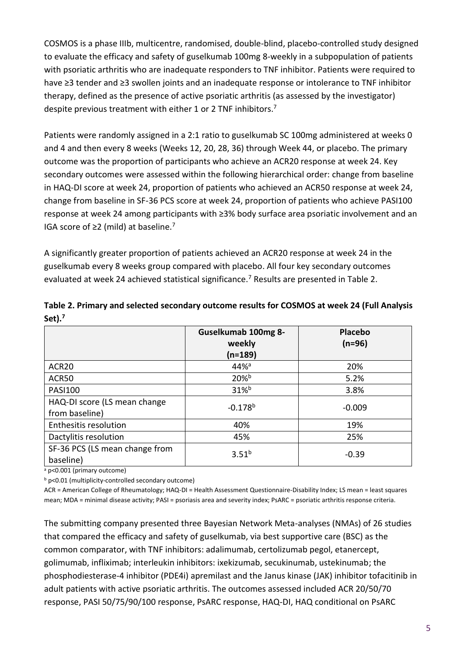COSMOS is a phase IIIb, multicentre, randomised, double-blind, placebo-controlled study designed to evaluate the efficacy and safety of guselkumab 100mg 8-weekly in a subpopulation of patients with psoriatic arthritis who are inadequate responders to TNF inhibitor. Patients were required to have ≥3 tender and ≥3 swollen joints and an inadequate response or intolerance to TNF inhibitor therapy, defined as the presence of active psoriatic arthritis (as assessed by the investigator) despite previous treatment with either 1 or 2 TNF inhibitors.<sup>7</sup>

Patients were randomly assigned in a 2:1 ratio to guselkumab SC 100mg administered at weeks 0 and 4 and then every 8 weeks (Weeks 12, 20, 28, 36) through Week 44, or placebo. The primary outcome was the proportion of participants who achieve an ACR20 response at week 24. Key secondary outcomes were assessed within the following hierarchical order: change from baseline in HAQ-DI score at week 24, proportion of patients who achieved an ACR50 response at week 24, change from baseline in SF-36 PCS score at week 24, proportion of patients who achieve PASI100 response at week 24 among participants with ≥3% body surface area psoriatic involvement and an IGA score of ≥2 (mild) at baseline.<sup>7</sup>

A significantly greater proportion of patients achieved an ACR20 response at week 24 in the guselkumab every 8 weeks group compared with placebo. All four key secondary outcomes evaluated at week 24 achieved statistical significance.<sup>7</sup> Results are presented in Table 2.

|                                                | Guselkumab 100mg 8-<br>weekly<br>$(n=189)$ | Placebo<br>$(n=96)$ |
|------------------------------------------------|--------------------------------------------|---------------------|
| ACR <sub>20</sub>                              | 44% <sup>a</sup>                           | 20%                 |
| ACR50                                          | 20%b                                       | 5.2%                |
| <b>PASI100</b>                                 | 31%b                                       | 3.8%                |
| HAQ-DI score (LS mean change<br>from baseline) | $-0.178^{b}$                               | $-0.009$            |
| Enthesitis resolution                          | 40%                                        | 19%                 |
| Dactylitis resolution                          | 45%                                        | 25%                 |
| SF-36 PCS (LS mean change from<br>baseline)    | $3.51^{b}$                                 | $-0.39$             |

**Table 2. Primary and selected secondary outcome results for COSMOS at week 24 (Full Analysis Set).<sup>7</sup>**

<sup>a</sup> p<0.001 (primary outcome)

<sup>b</sup> p<0.01 (multiplicity-controlled secondary outcome)

ACR = American College of Rheumatology; HAQ-DI = Health Assessment Questionnaire-Disability Index; LS mean = least squares mean; MDA = minimal disease activity; PASI = psoriasis area and severity index; PsARC = psoriatic arthritis response criteria.

The submitting company presented three Bayesian Network Meta-analyses (NMAs) of 26 studies that compared the efficacy and safety of guselkumab, via best supportive care (BSC) as the common comparator, with TNF inhibitors: adalimumab, certolizumab pegol, etanercept, golimumab, infliximab; interleukin inhibitors: ixekizumab, secukinumab, ustekinumab; the phosphodiesterase-4 inhibitor (PDE4i) apremilast and the Janus kinase (JAK) inhibitor tofacitinib in adult patients with active psoriatic arthritis. The outcomes assessed included ACR 20/50/70 response, PASI 50/75/90/100 response, PsARC response, HAQ-DI, HAQ conditional on PsARC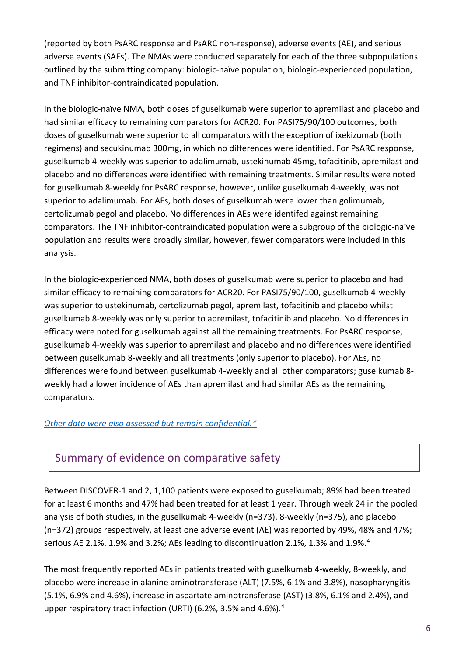(reported by both PsARC response and PsARC non-response), adverse events (AE), and serious adverse events (SAEs). The NMAs were conducted separately for each of the three subpopulations outlined by the submitting company: biologic-naïve population, biologic-experienced population, and TNF inhibitor-contraindicated population.

In the biologic-naïve NMA, both doses of guselkumab were superior to apremilast and placebo and had similar efficacy to remaining comparators for ACR20. For PASI75/90/100 outcomes, both doses of guselkumab were superior to all comparators with the exception of ixekizumab (both regimens) and secukinumab 300mg, in which no differences were identified. For PsARC response, guselkumab 4-weekly was superior to adalimumab, ustekinumab 45mg, tofacitinib, apremilast and placebo and no differences were identified with remaining treatments. Similar results were noted for guselkumab 8-weekly for PsARC response, however, unlike guselkumab 4-weekly, was not superior to adalimumab. For AEs, both doses of guselkumab were lower than golimumab, certolizumab pegol and placebo. No differences in AEs were identifed against remaining comparators. The TNF inhibitor-contraindicated population were a subgroup of the biologic-naïve population and results were broadly similar, however, fewer comparators were included in this analysis.

In the biologic-experienced NMA, both doses of guselkumab were superior to placebo and had similar efficacy to remaining comparators for ACR20. For PASI75/90/100, guselkumab 4-weekly was superior to ustekinumab, certolizumab pegol, apremilast, tofacitinib and placebo whilst guselkumab 8-weekly was only superior to apremilast, tofacitinib and placebo. No differences in efficacy were noted for guselkumab against all the remaining treatments. For PsARC response, guselkumab 4-weekly was superior to apremilast and placebo and no differences were identified between guselkumab 8-weekly and all treatments (only superior to placebo). For AEs, no differences were found between guselkumab 4-weekly and all other comparators; guselkumab 8 weekly had a lower incidence of AEs than apremilast and had similar AEs as the remaining comparators.

#### *[Other data were also assessed but remain confidential.\\*](https://www.scottishmedicines.org.uk/media/3572/20180710-release-of-company-data.pdf)*

### Summary of evidence on comparative safety

Between DISCOVER-1 and 2, 1,100 patients were exposed to guselkumab; 89% had been treated for at least 6 months and 47% had been treated for at least 1 year. Through week 24 in the pooled analysis of both studies, in the guselkumab 4-weekly (n=373), 8-weekly (n=375), and placebo (n=372) groups respectively, at least one adverse event (AE) was reported by 49%, 48% and 47%; serious AE 2.1%, 1.9% and 3.2%; AEs leading to discontinuation 2.1%, 1.3% and 1.9%.<sup>4</sup>

The most frequently reported AEs in patients treated with guselkumab 4-weekly, 8-weekly, and placebo were increase in alanine aminotransferase (ALT) (7.5%, 6.1% and 3.8%), nasopharyngitis (5.1%, 6.9% and 4.6%), increase in aspartate aminotransferase (AST) (3.8%, 6.1% and 2.4%), and upper respiratory tract infection (URTI) (6.2%, 3.5% and 4.6%). 4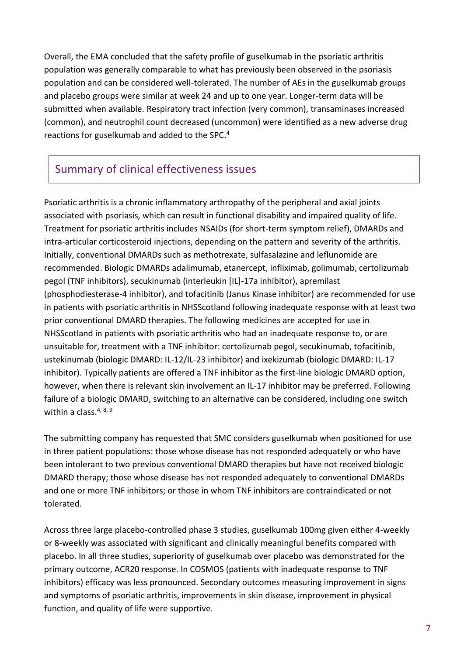Overall, the EMA concluded that the safety profile of guselkumab in the psoriatic arthritis population was generally comparable to what has previously been observed in the psoriasis population and can be considered well-tolerated. The number of AEs in the guselkumab groups and placebo groups were similar at week 24 and up to one year. Longer-term data will be submitted when available. Respiratory tract infection (very common), transaminases increased (common), and neutrophil count decreased (uncommon) were identified as a new adverse drug reactions for guselkumab and added to the SPC. 4

## Summary of clinical effectiveness issues

Psoriatic arthritis is a chronic inflammatory arthropathy of the peripheral and axial joints associated with psoriasis, which can result in functional disability and impaired quality of life. Treatment for psoriatic arthritis includes NSAIDs (for short-term symptom relief), DMARDs and intra-articular corticosteroid injections, depending on the pattern and severity of the arthritis. Initially, conventional DMARDs such as methotrexate, sulfasalazine and leflunomide are recommended. Biologic DMARDs adalimumab, etanercept, infliximab, golimumab, certolizumab pegol (TNF inhibitors), secukinumab (interleukin [IL]-17a inhibitor), apremilast (phosphodiesterase-4 inhibitor), and tofacitinib (Janus Kinase inhibitor) are recommended for use in patients with psoriatic arthritis in NHSScotland following inadequate response with at least two prior conventional DMARD therapies. The following medicines are accepted for use in NHSScotland in patients with psoriatic arthritis who had an inadequate response to, or are unsuitable for, treatment with a TNF inhibitor: certolizumab pegol, secukinumab, tofacitinib, ustekinumab (biologic DMARD: IL-12/IL-23 inhibitor) and ixekizumab (biologic DMARD: IL-17 inhibitor). Typically patients are offered a TNF inhibitor as the first-line biologic DMARD option, however, when there is relevant skin involvement an IL-17 inhibitor may be preferred. Following failure of a biologic DMARD, switching to an alternative can be considered, including one switch within a class.  $4, 8, 9$ 

The submitting company has requested that SMC considers guselkumab when positioned for use in three patient populations: those whose disease has not responded adequately or who have been intolerant to two previous conventional DMARD therapies but have not received biologic DMARD therapy; those whose disease has not responded adequately to conventional DMARDs and one or more TNF inhibitors; or those in whom TNF inhibitors are contraindicated or not tolerated.

Across three large placebo-controlled phase 3 studies, guselkumab 100mg given either 4-weekly or 8-weekly was associated with significant and clinically meaningful benefits compared with placebo. In all three studies, superiority of guselkumab over placebo was demonstrated for the primary outcome, ACR20 response. In COSMOS (patients with inadequate response to TNF inhibitors) efficacy was less pronounced. Secondary outcomes measuring improvement in signs and symptoms of psoriatic arthritis, improvements in skin disease, improvement in physical function, and quality of life were supportive.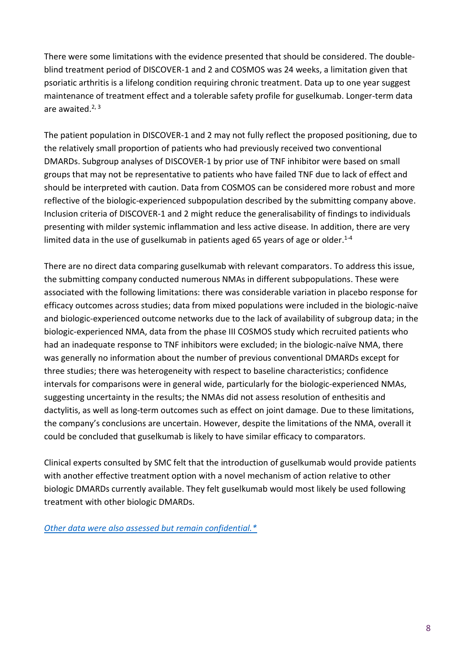There were some limitations with the evidence presented that should be considered. The doubleblind treatment period of DISCOVER-1 and 2 and COSMOS was 24 weeks, a limitation given that psoriatic arthritis is a lifelong condition requiring chronic treatment. Data up to one year suggest maintenance of treatment effect and a tolerable safety profile for guselkumab. Longer-term data are awaited.<sup>2, 3</sup>

The patient population in DISCOVER-1 and 2 may not fully reflect the proposed positioning, due to the relatively small proportion of patients who had previously received two conventional DMARDs. Subgroup analyses of DISCOVER-1 by prior use of TNF inhibitor were based on small groups that may not be representative to patients who have failed TNF due to lack of effect and should be interpreted with caution. Data from COSMOS can be considered more robust and more reflective of the biologic-experienced subpopulation described by the submitting company above. Inclusion criteria of DISCOVER-1 and 2 might reduce the generalisability of findings to individuals presenting with milder systemic inflammation and less active disease. In addition, there are very limited data in the use of guselkumab in patients aged 65 years of age or older.<sup>1-4</sup>

There are no direct data comparing guselkumab with relevant comparators. To address this issue, the submitting company conducted numerous NMAs in different subpopulations. These were associated with the following limitations: there was considerable variation in placebo response for efficacy outcomes across studies; data from mixed populations were included in the biologic-naïve and biologic-experienced outcome networks due to the lack of availability of subgroup data; in the biologic-experienced NMA, data from the phase III COSMOS study which recruited patients who had an inadequate response to TNF inhibitors were excluded; in the biologic-naïve NMA, there was generally no information about the number of previous conventional DMARDs except for three studies; there was heterogeneity with respect to baseline characteristics; confidence intervals for comparisons were in general wide, particularly for the biologic-experienced NMAs, suggesting uncertainty in the results; the NMAs did not assess resolution of enthesitis and dactylitis, as well as long-term outcomes such as effect on joint damage. Due to these limitations, the company's conclusions are uncertain. However, despite the limitations of the NMA, overall it could be concluded that guselkumab is likely to have similar efficacy to comparators.

Clinical experts consulted by SMC felt that the introduction of guselkumab would provide patients with another effective treatment option with a novel mechanism of action relative to other biologic DMARDs currently available. They felt guselkumab would most likely be used following treatment with other biologic DMARDs.

*[Other data were also assessed but remain confidential.\\*](https://www.scottishmedicines.org.uk/media/3572/20180710-release-of-company-data.pdf)*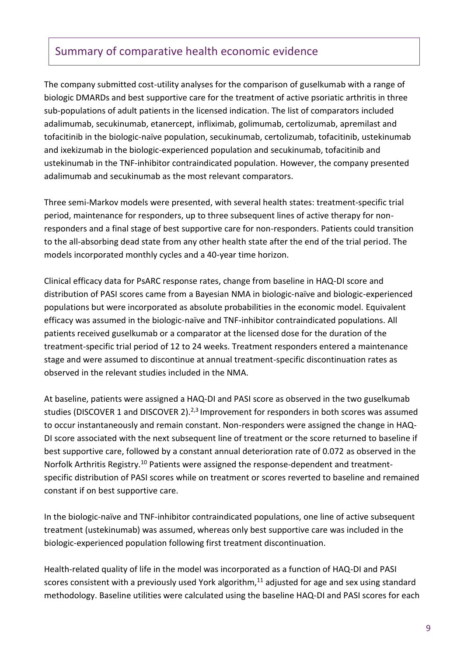### Summary of comparative health economic evidence

The company submitted cost-utility analyses for the comparison of guselkumab with a range of biologic DMARDs and best supportive care for the treatment of active psoriatic arthritis in three sub-populations of adult patients in the licensed indication. The list of comparators included adalimumab, secukinumab, etanercept, infliximab, golimumab, certolizumab, apremilast and tofacitinib in the biologic-naïve population, secukinumab, certolizumab, tofacitinib, ustekinumab and ixekizumab in the biologic-experienced population and secukinumab, tofacitinib and ustekinumab in the TNF-inhibitor contraindicated population. However, the company presented adalimumab and secukinumab as the most relevant comparators.

Three semi-Markov models were presented, with several health states: treatment-specific trial period, maintenance for responders, up to three subsequent lines of active therapy for nonresponders and a final stage of best supportive care for non-responders. Patients could transition to the all-absorbing dead state from any other health state after the end of the trial period. The models incorporated monthly cycles and a 40-year time horizon.

Clinical efficacy data for PsARC response rates, change from baseline in HAQ-DI score and distribution of PASI scores came from a Bayesian NMA in biologic-naïve and biologic-experienced populations but were incorporated as absolute probabilities in the economic model. Equivalent efficacy was assumed in the biologic-naïve and TNF-inhibitor contraindicated populations. All patients received guselkumab or a comparator at the licensed dose for the duration of the treatment-specific trial period of 12 to 24 weeks. Treatment responders entered a maintenance stage and were assumed to discontinue at annual treatment-specific discontinuation rates as observed in the relevant studies included in the NMA.

At baseline, patients were assigned a HAQ-DI and PASI score as observed in the two guselkumab studies (DISCOVER 1 and DISCOVER 2).<sup>2,3</sup> Improvement for responders in both scores was assumed to occur instantaneously and remain constant. Non-responders were assigned the change in HAQ-DI score associated with the next subsequent line of treatment or the score returned to baseline if best supportive care, followed by a constant annual deterioration rate of 0.072 as observed in the Norfolk Arthritis Registry.<sup>10</sup> Patients were assigned the response-dependent and treatmentspecific distribution of PASI scores while on treatment or scores reverted to baseline and remained constant if on best supportive care.

In the biologic-naïve and TNF-inhibitor contraindicated populations, one line of active subsequent treatment (ustekinumab) was assumed, whereas only best supportive care was included in the biologic-experienced population following first treatment discontinuation.

Health-related quality of life in the model was incorporated as a function of HAQ-DI and PASI scores consistent with a previously used York algorithm, $11$  adjusted for age and sex using standard methodology. Baseline utilities were calculated using the baseline HAQ-DI and PASI scores for each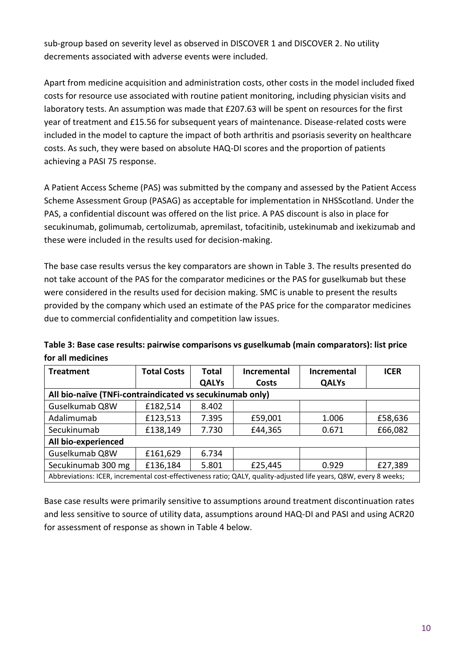sub-group based on severity level as observed in DISCOVER 1 and DISCOVER 2. No utility decrements associated with adverse events were included.

Apart from medicine acquisition and administration costs, other costs in the model included fixed costs for resource use associated with routine patient monitoring, including physician visits and laboratory tests. An assumption was made that £207.63 will be spent on resources for the first year of treatment and £15.56 for subsequent years of maintenance. Disease-related costs were included in the model to capture the impact of both arthritis and psoriasis severity on healthcare costs. As such, they were based on absolute HAQ-DI scores and the proportion of patients achieving a PASI 75 response.

A Patient Access Scheme (PAS) was submitted by the company and assessed by the Patient Access Scheme Assessment Group (PASAG) as acceptable for implementation in NHSScotland. Under the PAS, a confidential discount was offered on the list price. A PAS discount is also in place for secukinumab, golimumab, certolizumab, apremilast, tofacitinib, ustekinumab and ixekizumab and these were included in the results used for decision-making.

The base case results versus the key comparators are shown in Table 3. The results presented do not take account of the PAS for the comparator medicines or the PAS for guselkumab but these were considered in the results used for decision making. SMC is unable to present the results provided by the company which used an estimate of the PAS price for the comparator medicines due to commercial confidentiality and competition law issues.

| <b>Treatment</b>                                                                                                  | <b>Total Costs</b> | <b>Total</b> | Incremental | <b>Incremental</b> | <b>ICER</b> |  |
|-------------------------------------------------------------------------------------------------------------------|--------------------|--------------|-------------|--------------------|-------------|--|
|                                                                                                                   |                    | <b>QALYs</b> | Costs       | <b>QALYs</b>       |             |  |
| All bio-naïve (TNFi-contraindicated vs secukinumab only)                                                          |                    |              |             |                    |             |  |
| Guselkumab Q8W                                                                                                    | £182,514           | 8.402        |             |                    |             |  |
| Adalimumab                                                                                                        | £123,513           | 7.395        | £59,001     | 1.006              | £58,636     |  |
| Secukinumab                                                                                                       | £138,149           | 7.730        | £44,365     | 0.671              | £66,082     |  |
| All bio-experienced                                                                                               |                    |              |             |                    |             |  |
| Guselkumab Q8W                                                                                                    | £161,629           | 6.734        |             |                    |             |  |
| Secukinumab 300 mg                                                                                                | £136,184           | 5.801        | £25,445     | 0.929              | £27,389     |  |
| Abbreviations: ICER, incremental cost-effectiveness ratio; QALY, quality-adjusted life years, Q8W, every 8 weeks; |                    |              |             |                    |             |  |

**Table 3: Base case results: pairwise comparisons vs guselkumab (main comparators): list price for all medicines**

Base case results were primarily sensitive to assumptions around treatment discontinuation rates and less sensitive to source of utility data, assumptions around HAQ-DI and PASI and using ACR20 for assessment of response as shown in Table 4 below.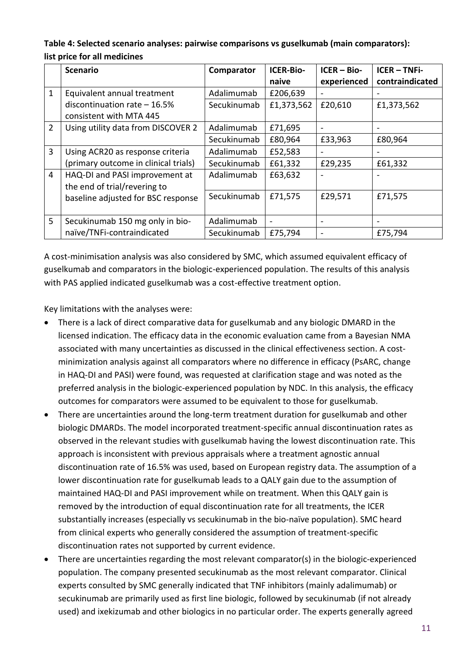#### **Table 4: Selected scenario analyses: pairwise comparisons vs guselkumab (main comparators): list price for all medicines**

|                | <b>Scenario</b>                      | Comparator  | <b>ICER-Bio-</b>         | $ICER - Bio-$                | <b>ICER-TNFi-</b> |
|----------------|--------------------------------------|-------------|--------------------------|------------------------------|-------------------|
|                |                                      |             | naive                    | experienced                  | contraindicated   |
| $\mathbf{1}$   | Equivalent annual treatment          | Adalimumab  | £206,639                 |                              |                   |
|                | discontinuation rate $-16.5%$        | Secukinumab | £1,373,562               | £20,610                      | £1,373,562        |
|                | consistent with MTA 445              |             |                          |                              |                   |
| $\overline{2}$ | Using utility data from DISCOVER 2   | Adalimumab  | £71,695                  |                              |                   |
|                |                                      | Secukinumab | £80,964                  | £33,963                      | £80,964           |
| 3              | Using ACR20 as response criteria     | Adalimumab  | £52,583                  |                              |                   |
|                | (primary outcome in clinical trials) | Secukinumab | £61,332                  | £29,235                      | £61,332           |
| $\overline{4}$ | HAQ-DI and PASI improvement at       | Adalimumab  | £63,632                  |                              |                   |
|                | the end of trial/revering to         |             |                          |                              |                   |
|                | baseline adjusted for BSC response   | Secukinumab | £71,575                  | £29,571                      | £71,575           |
|                |                                      |             |                          |                              |                   |
| 5              | Secukinumab 150 mg only in bio-      | Adalimumab  | $\overline{\phantom{a}}$ | -                            |                   |
|                | naïve/TNFi-contraindicated           | Secukinumab | £75,794                  | $\qquad \qquad \blacksquare$ | £75,794           |

A cost-minimisation analysis was also considered by SMC, which assumed equivalent efficacy of guselkumab and comparators in the biologic-experienced population. The results of this analysis with PAS applied indicated guselkumab was a cost-effective treatment option.

Key limitations with the analyses were:

- There is a lack of direct comparative data for guselkumab and any biologic DMARD in the licensed indication. The efficacy data in the economic evaluation came from a Bayesian NMA associated with many uncertainties as discussed in the clinical effectiveness section. A costminimization analysis against all comparators where no difference in efficacy (PsARC, change in HAQ-DI and PASI) were found, was requested at clarification stage and was noted as the preferred analysis in the biologic-experienced population by NDC. In this analysis, the efficacy outcomes for comparators were assumed to be equivalent to those for guselkumab.
- There are uncertainties around the long-term treatment duration for guselkumab and other biologic DMARDs. The model incorporated treatment-specific annual discontinuation rates as observed in the relevant studies with guselkumab having the lowest discontinuation rate. This approach is inconsistent with previous appraisals where a treatment agnostic annual discontinuation rate of 16.5% was used, based on European registry data. The assumption of a lower discontinuation rate for guselkumab leads to a QALY gain due to the assumption of maintained HAQ-DI and PASI improvement while on treatment. When this QALY gain is removed by the introduction of equal discontinuation rate for all treatments, the ICER substantially increases (especially vs secukinumab in the bio-naïve population). SMC heard from clinical experts who generally considered the assumption of treatment-specific discontinuation rates not supported by current evidence.
- There are uncertainties regarding the most relevant comparator(s) in the biologic-experienced population. The company presented secukinumab as the most relevant comparator. Clinical experts consulted by SMC generally indicated that TNF inhibitors (mainly adalimumab) or secukinumab are primarily used as first line biologic, followed by secukinumab (if not already used) and ixekizumab and other biologics in no particular order. The experts generally agreed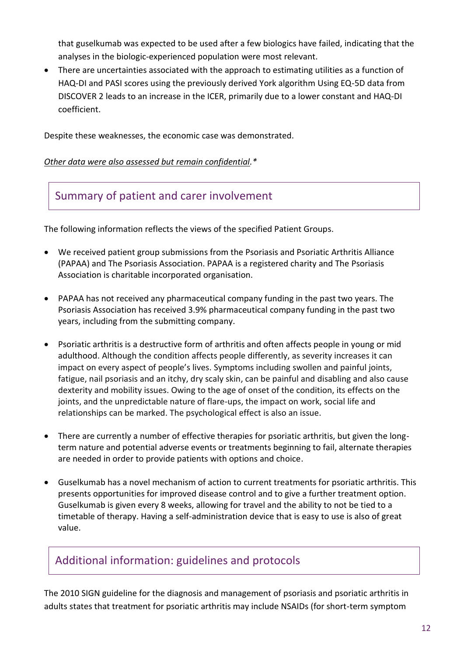that guselkumab was expected to be used after a few biologics have failed, indicating that the analyses in the biologic-experienced population were most relevant.

 There are uncertainties associated with the approach to estimating utilities as a function of HAQ-DI and PASI scores using the previously derived York algorithm Using EQ-5D data from DISCOVER 2 leads to an increase in the ICER, primarily due to a lower constant and HAQ-DI coefficient.

Despite these weaknesses, the economic case was demonstrated.

#### *Other data were also assessed but remain confidential.\**

### Summary of patient and carer involvement

The following information reflects the views of the specified Patient Groups.

- We received patient group submissions from the Psoriasis and Psoriatic Arthritis Alliance (PAPAA) and The Psoriasis Association. PAPAA is a registered charity and The Psoriasis Association is charitable incorporated organisation.
- PAPAA has not received any pharmaceutical company funding in the past two years. The Psoriasis Association has received 3.9% pharmaceutical company funding in the past two years, including from the submitting company.
- Psoriatic arthritis is a destructive form of arthritis and often affects people in young or mid adulthood. Although the condition affects people differently, as severity increases it can impact on every aspect of people's lives. Symptoms including swollen and painful joints, fatigue, nail psoriasis and an itchy, dry scaly skin, can be painful and disabling and also cause dexterity and mobility issues. Owing to the age of onset of the condition, its effects on the joints, and the unpredictable nature of flare-ups, the impact on work, social life and relationships can be marked. The psychological effect is also an issue.
- There are currently a number of effective therapies for psoriatic arthritis, but given the longterm nature and potential adverse events or treatments beginning to fail, alternate therapies are needed in order to provide patients with options and choice.
- Guselkumab has a novel mechanism of action to current treatments for psoriatic arthritis. This presents opportunities for improved disease control and to give a further treatment option. Guselkumab is given every 8 weeks, allowing for travel and the ability to not be tied to a timetable of therapy. Having a self-administration device that is easy to use is also of great value.

### Additional information: guidelines and protocols

The 2010 SIGN guideline for the diagnosis and management of psoriasis and psoriatic arthritis in adults states that treatment for psoriatic arthritis may include NSAIDs (for short-term symptom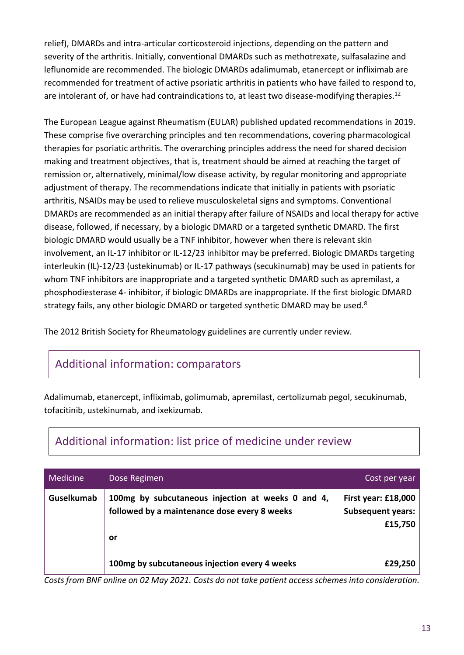relief), DMARDs and intra-articular corticosteroid injections, depending on the pattern and severity of the arthritis. Initially, conventional DMARDs such as methotrexate, sulfasalazine and leflunomide are recommended. The biologic DMARDs adalimumab, etanercept or infliximab are recommended for treatment of active psoriatic arthritis in patients who have failed to respond to, are intolerant of, or have had contraindications to, at least two disease-modifying therapies.<sup>12</sup>

The European League against Rheumatism (EULAR) published updated recommendations in 2019. These comprise five overarching principles and ten recommendations, covering pharmacological therapies for psoriatic arthritis. The overarching principles address the need for shared decision making and treatment objectives, that is, treatment should be aimed at reaching the target of remission or, alternatively, minimal/low disease activity, by regular monitoring and appropriate adjustment of therapy. The recommendations indicate that initially in patients with psoriatic arthritis, NSAIDs may be used to relieve musculoskeletal signs and symptoms. Conventional DMARDs are recommended as an initial therapy after failure of NSAIDs and local therapy for active disease, followed, if necessary, by a biologic DMARD or a targeted synthetic DMARD. The first biologic DMARD would usually be a TNF inhibitor, however when there is relevant skin involvement, an IL-17 inhibitor or IL-12/23 inhibitor may be preferred. Biologic DMARDs targeting interleukin (IL)-12/23 (ustekinumab) or IL-17 pathways (secukinumab) may be used in patients for whom TNF inhibitors are inappropriate and a targeted synthetic DMARD such as apremilast, a phosphodiesterase 4- inhibitor, if biologic DMARDs are inappropriate. If the first biologic DMARD strategy fails, any other biologic DMARD or targeted synthetic DMARD may be used.<sup>8</sup>

The 2012 British Society for Rheumatology guidelines are currently under review.

### Additional information: comparators

Adalimumab, etanercept, infliximab, golimumab, apremilast, certolizumab pegol, secukinumab, tofacitinib, ustekinumab, and ixekizumab.

| Medicine   | Dose Regimen                                                                                            | Cost per year                                              |
|------------|---------------------------------------------------------------------------------------------------------|------------------------------------------------------------|
| Guselkumab | 100mg by subcutaneous injection at weeks 0 and 4,<br>followed by a maintenance dose every 8 weeks<br>or | First year: £18,000<br><b>Subsequent years:</b><br>£15,750 |
|            | 100mg by subcutaneous injection every 4 weeks                                                           | £29,250                                                    |

# Additional information: list price of medicine under review

*Costs from BNF online on 02 May 2021. Costs do not take patient access schemes into consideration.*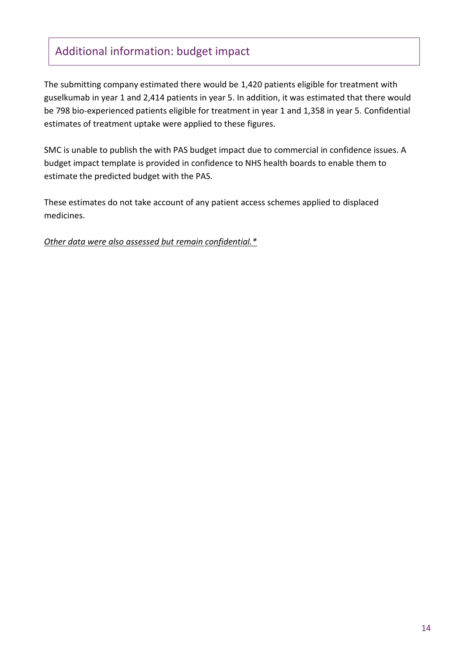### Additional information: budget impact

The submitting company estimated there would be 1,420 patients eligible for treatment with guselkumab in year 1 and 2,414 patients in year 5. In addition, it was estimated that there would be 798 bio-experienced patients eligible for treatment in year 1 and 1,358 in year 5. Confidential estimates of treatment uptake were applied to these figures.

SMC is unable to publish the with PAS budget impact due to commercial in confidence issues. A budget impact template is provided in confidence to NHS health boards to enable them to estimate the predicted budget with the PAS.

These estimates do not take account of any patient access schemes applied to displaced medicines.

*Other data were also assessed but remain confidential.\**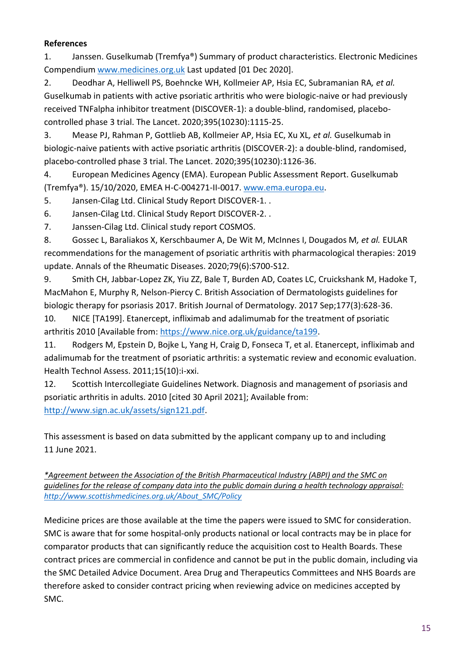#### **References**

1. Janssen. Guselkumab (Tremfya®) Summary of product characteristics. Electronic Medicines Compendium [www.medicines.org.uk](file://///hisldata01/share/SMC/Subs/2021/guselkumab%20(Tremfya)%20with%20PAS%202360/Edits%20Post%20NDC/www.medicines.org.uk) Last updated [01 Dec 2020].

2. Deodhar A, Helliwell PS, Boehncke WH, Kollmeier AP, Hsia EC, Subramanian RA*, et al.* Guselkumab in patients with active psoriatic arthritis who were biologic-naive or had previously received TNFalpha inhibitor treatment (DISCOVER-1): a double-blind, randomised, placebocontrolled phase 3 trial. The Lancet. 2020;395(10230):1115-25.

3. Mease PJ, Rahman P, Gottlieb AB, Kollmeier AP, Hsia EC, Xu XL*, et al.* Guselkumab in biologic-naive patients with active psoriatic arthritis (DISCOVER-2): a double-blind, randomised, placebo-controlled phase 3 trial. The Lancet. 2020;395(10230):1126-36.

4. European Medicines Agency (EMA). European Public Assessment Report. Guselkumab (Tremfya®). 15/10/2020, EMEA H-C-004271-II-0017[. www.ema.europa.eu.](file://///hisldata01/share/SMC/Subs/2021/guselkumab%20(Tremfya)%20with%20PAS%202360/Edits%20Post%20NDC/www.ema.europa.eu)

5. Jansen-Cilag Ltd. Clinical Study Report DISCOVER-1. .

6. Jansen-Cilag Ltd. Clinical Study Report DISCOVER-2. .

7. Janssen-Cilag Ltd. Clinical study report COSMOS.

8. Gossec L, Baraliakos X, Kerschbaumer A, De Wit M, McInnes I, Dougados M*, et al.* EULAR recommendations for the management of psoriatic arthritis with pharmacological therapies: 2019 update. Annals of the Rheumatic Diseases. 2020;79(6):S700-S12.

9. Smith CH, Jabbar-Lopez ZK, Yiu ZZ, Bale T, Burden AD, Coates LC, Cruickshank M, Hadoke T, MacMahon E, Murphy R, Nelson‐Piercy C. British Association of Dermatologists guidelines for biologic therapy for psoriasis 2017. British Journal of Dermatology. 2017 Sep;177(3):628-36.

10. NICE [TA199]. Etanercept, infliximab and adalimumab for the treatment of psoriatic arthritis 2010 [Available from: [https://www.nice.org.uk/guidance/ta199.](https://www.nice.org.uk/guidance/ta199)

11. Rodgers M, Epstein D, Bojke L, Yang H, Craig D, Fonseca T, et al. Etanercept, infliximab and adalimumab for the treatment of psoriatic arthritis: a systematic review and economic evaluation. Health Technol Assess. 2011;15(10):i-xxi.

12. Scottish Intercollegiate Guidelines Network. Diagnosis and management of psoriasis and psoriatic arthritis in adults. 2010 [cited 30 April 2021]; Available from: [http://www.sign.ac.uk/assets/sign121.pdf.](http://www.sign.ac.uk/assets/sign121.pdf)

This assessment is based on data submitted by the applicant company up to and including 11 June 2021.

*\*Agreement between the Association of the British Pharmaceutical Industry (ABPI) and the SMC on guidelines for the release of company data into the public domain during a health technology appraisal: [http://www.scottishmedicines.org.uk/About\\_SMC/Policy](http://www.scottishmedicines.org.uk/About_SMC/Policy)*

Medicine prices are those available at the time the papers were issued to SMC for consideration. SMC is aware that for some hospital-only products national or local contracts may be in place for comparator products that can significantly reduce the acquisition cost to Health Boards. These contract prices are commercial in confidence and cannot be put in the public domain, including via the SMC Detailed Advice Document. Area Drug and Therapeutics Committees and NHS Boards are therefore asked to consider contract pricing when reviewing advice on medicines accepted by SMC.